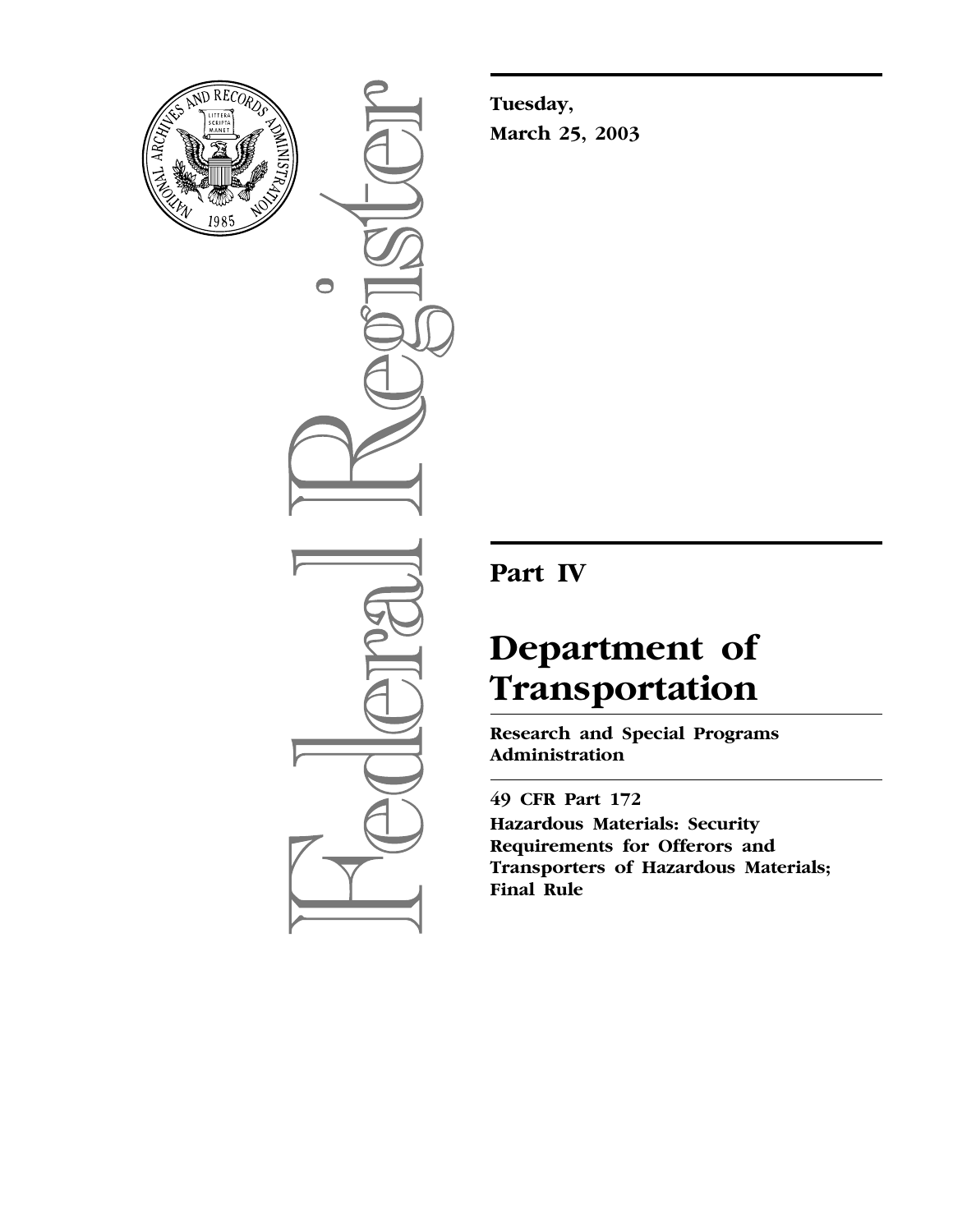

 $\bigcirc$ 

**Tuesday, March 25, 2003**

# **Part IV**

# **Department of Transportation**

**Research and Special Programs Administration** 

**49 CFR Part 172 Hazardous Materials: Security Requirements for Offerors and Transporters of Hazardous Materials; Final Rule**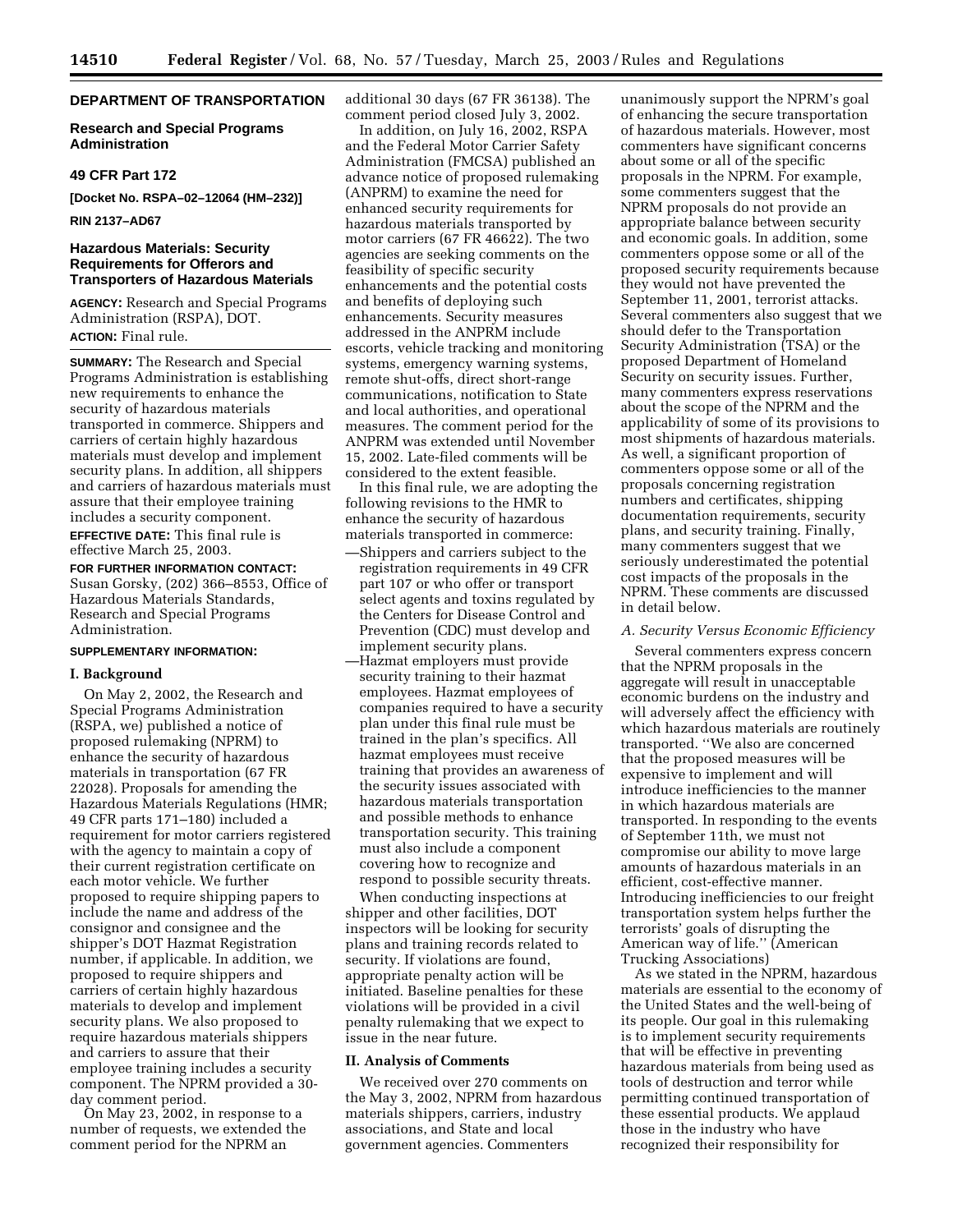# **DEPARTMENT OF TRANSPORTATION**

# **Research and Special Programs Administration**

# **49 CFR Part 172**

**[Docket No. RSPA–02–12064 (HM–232)]** 

**RIN 2137–AD67** 

# **Hazardous Materials: Security Requirements for Offerors and Transporters of Hazardous Materials**

**AGENCY:** Research and Special Programs Administration (RSPA), DOT. **ACTION:** Final rule.

**SUMMARY:** The Research and Special Programs Administration is establishing new requirements to enhance the security of hazardous materials transported in commerce. Shippers and carriers of certain highly hazardous materials must develop and implement security plans. In addition, all shippers and carriers of hazardous materials must assure that their employee training includes a security component. **EFFECTIVE DATE:** This final rule is

effective March 25, 2003.

**FOR FURTHER INFORMATION CONTACT:** Susan Gorsky, (202) 366–8553, Office of Hazardous Materials Standards, Research and Special Programs Administration.

# **SUPPLEMENTARY INFORMATION:**

#### **I. Background**

On May 2, 2002, the Research and Special Programs Administration (RSPA, we) published a notice of proposed rulemaking (NPRM) to enhance the security of hazardous materials in transportation (67 FR 22028). Proposals for amending the Hazardous Materials Regulations (HMR; 49 CFR parts 171–180) included a requirement for motor carriers registered with the agency to maintain a copy of their current registration certificate on each motor vehicle. We further proposed to require shipping papers to include the name and address of the consignor and consignee and the shipper's DOT Hazmat Registration number, if applicable. In addition, we proposed to require shippers and carriers of certain highly hazardous materials to develop and implement security plans. We also proposed to require hazardous materials shippers and carriers to assure that their employee training includes a security component. The NPRM provided a 30 day comment period.

On May 23, 2002, in response to a number of requests, we extended the comment period for the NPRM an

additional 30 days (67 FR 36138). The comment period closed July 3, 2002.

In addition, on July 16, 2002, RSPA and the Federal Motor Carrier Safety Administration (FMCSA) published an advance notice of proposed rulemaking (ANPRM) to examine the need for enhanced security requirements for hazardous materials transported by motor carriers (67 FR 46622). The two agencies are seeking comments on the feasibility of specific security enhancements and the potential costs and benefits of deploying such enhancements. Security measures addressed in the ANPRM include escorts, vehicle tracking and monitoring systems, emergency warning systems, remote shut-offs, direct short-range communications, notification to State and local authorities, and operational measures. The comment period for the ANPRM was extended until November 15, 2002. Late-filed comments will be considered to the extent feasible.

In this final rule, we are adopting the following revisions to the HMR to enhance the security of hazardous materials transported in commerce:

- —Shippers and carriers subject to the registration requirements in 49 CFR part 107 or who offer or transport select agents and toxins regulated by the Centers for Disease Control and Prevention (CDC) must develop and implement security plans.
- —Hazmat employers must provide security training to their hazmat employees. Hazmat employees of companies required to have a security plan under this final rule must be trained in the plan's specifics. All hazmat employees must receive training that provides an awareness of the security issues associated with hazardous materials transportation and possible methods to enhance transportation security. This training must also include a component covering how to recognize and respond to possible security threats.

When conducting inspections at shipper and other facilities, DOT inspectors will be looking for security plans and training records related to security. If violations are found, appropriate penalty action will be initiated. Baseline penalties for these violations will be provided in a civil penalty rulemaking that we expect to issue in the near future.

# **II. Analysis of Comments**

We received over 270 comments on the May 3, 2002, NPRM from hazardous materials shippers, carriers, industry associations, and State and local government agencies. Commenters

unanimously support the NPRM's goal of enhancing the secure transportation of hazardous materials. However, most commenters have significant concerns about some or all of the specific proposals in the NPRM. For example, some commenters suggest that the NPRM proposals do not provide an appropriate balance between security and economic goals. In addition, some commenters oppose some or all of the proposed security requirements because they would not have prevented the September 11, 2001, terrorist attacks. Several commenters also suggest that we should defer to the Transportation Security Administration (TSA) or the proposed Department of Homeland Security on security issues. Further, many commenters express reservations about the scope of the NPRM and the applicability of some of its provisions to most shipments of hazardous materials. As well, a significant proportion of commenters oppose some or all of the proposals concerning registration numbers and certificates, shipping documentation requirements, security plans, and security training. Finally, many commenters suggest that we seriously underestimated the potential cost impacts of the proposals in the NPRM. These comments are discussed in detail below.

#### *A. Security Versus Economic Efficiency*

Several commenters express concern that the NPRM proposals in the aggregate will result in unacceptable economic burdens on the industry and will adversely affect the efficiency with which hazardous materials are routinely transported. ''We also are concerned that the proposed measures will be expensive to implement and will introduce inefficiencies to the manner in which hazardous materials are transported. In responding to the events of September 11th, we must not compromise our ability to move large amounts of hazardous materials in an efficient, cost-effective manner. Introducing inefficiencies to our freight transportation system helps further the terrorists' goals of disrupting the American way of life.'' (American Trucking Associations)

As we stated in the NPRM, hazardous materials are essential to the economy of the United States and the well-being of its people. Our goal in this rulemaking is to implement security requirements that will be effective in preventing hazardous materials from being used as tools of destruction and terror while permitting continued transportation of these essential products. We applaud those in the industry who have recognized their responsibility for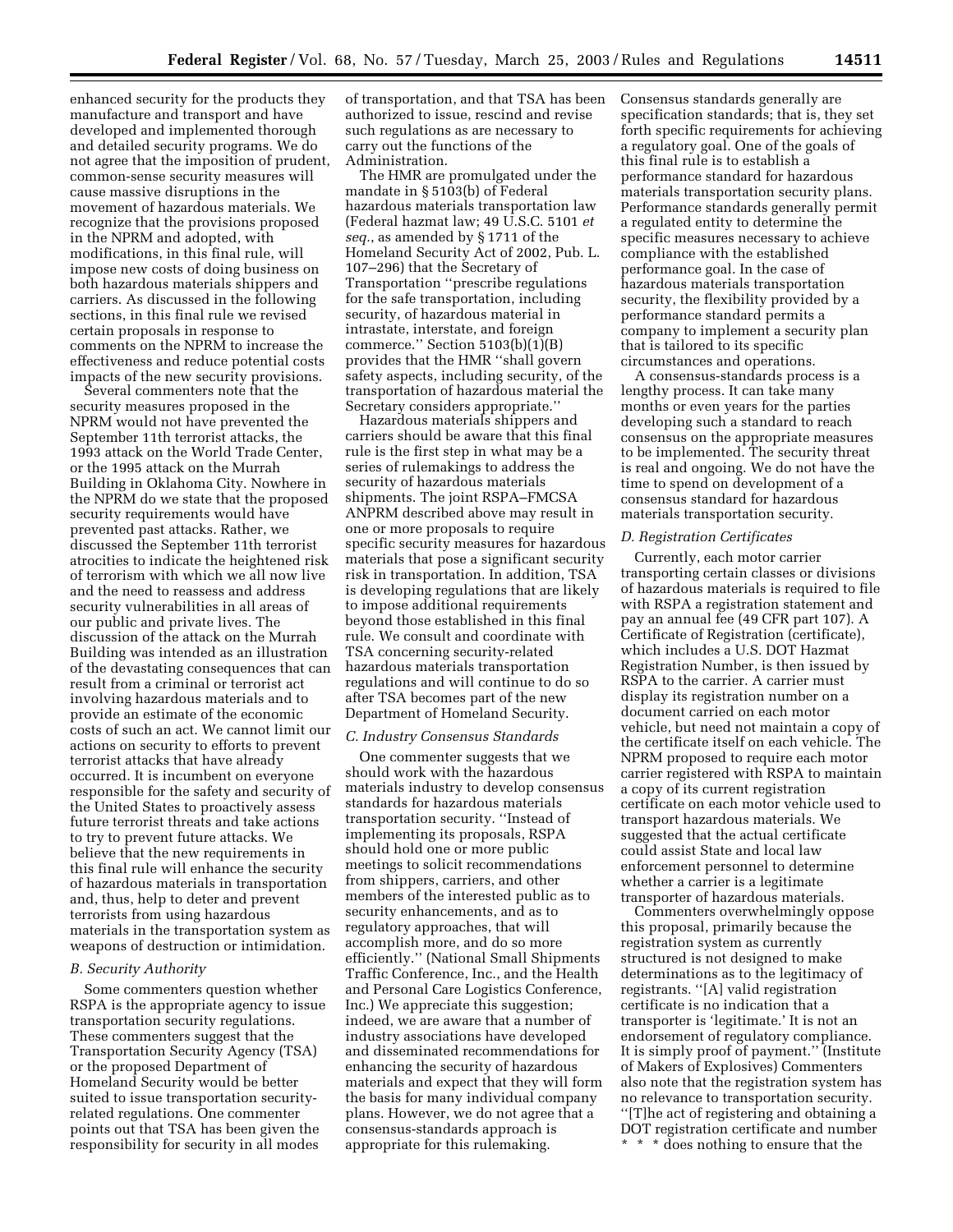enhanced security for the products they manufacture and transport and have developed and implemented thorough and detailed security programs. We do not agree that the imposition of prudent, common-sense security measures will cause massive disruptions in the movement of hazardous materials. We recognize that the provisions proposed in the NPRM and adopted, with modifications, in this final rule, will impose new costs of doing business on both hazardous materials shippers and carriers. As discussed in the following sections, in this final rule we revised certain proposals in response to comments on the NPRM to increase the effectiveness and reduce potential costs impacts of the new security provisions.

Several commenters note that the security measures proposed in the NPRM would not have prevented the September 11th terrorist attacks, the 1993 attack on the World Trade Center, or the 1995 attack on the Murrah Building in Oklahoma City. Nowhere in the NPRM do we state that the proposed security requirements would have prevented past attacks. Rather, we discussed the September 11th terrorist atrocities to indicate the heightened risk of terrorism with which we all now live and the need to reassess and address security vulnerabilities in all areas of our public and private lives. The discussion of the attack on the Murrah Building was intended as an illustration of the devastating consequences that can result from a criminal or terrorist act involving hazardous materials and to provide an estimate of the economic costs of such an act. We cannot limit our actions on security to efforts to prevent terrorist attacks that have already occurred. It is incumbent on everyone responsible for the safety and security of the United States to proactively assess future terrorist threats and take actions to try to prevent future attacks. We believe that the new requirements in this final rule will enhance the security of hazardous materials in transportation and, thus, help to deter and prevent terrorists from using hazardous materials in the transportation system as weapons of destruction or intimidation.

#### *B. Security Authority*

Some commenters question whether RSPA is the appropriate agency to issue transportation security regulations. These commenters suggest that the Transportation Security Agency (TSA) or the proposed Department of Homeland Security would be better suited to issue transportation securityrelated regulations. One commenter points out that TSA has been given the responsibility for security in all modes

of transportation, and that TSA has been authorized to issue, rescind and revise such regulations as are necessary to carry out the functions of the Administration.

The HMR are promulgated under the mandate in § 5103(b) of Federal hazardous materials transportation law (Federal hazmat law; 49 U.S.C. 5101 *et seq.*, as amended by § 1711 of the Homeland Security Act of 2002, Pub. L. 107–296) that the Secretary of Transportation ''prescribe regulations for the safe transportation, including security, of hazardous material in intrastate, interstate, and foreign commerce." Section  $5103(b)(1)(B)$ provides that the HMR ''shall govern safety aspects, including security, of the transportation of hazardous material the Secretary considers appropriate.''

Hazardous materials shippers and carriers should be aware that this final rule is the first step in what may be a series of rulemakings to address the security of hazardous materials shipments. The joint RSPA–FMCSA ANPRM described above may result in one or more proposals to require specific security measures for hazardous materials that pose a significant security risk in transportation. In addition, TSA is developing regulations that are likely to impose additional requirements beyond those established in this final rule. We consult and coordinate with TSA concerning security-related hazardous materials transportation regulations and will continue to do so after TSA becomes part of the new Department of Homeland Security.

#### *C. Industry Consensus Standards*

One commenter suggests that we should work with the hazardous materials industry to develop consensus standards for hazardous materials transportation security. ''Instead of implementing its proposals, RSPA should hold one or more public meetings to solicit recommendations from shippers, carriers, and other members of the interested public as to security enhancements, and as to regulatory approaches, that will accomplish more, and do so more efficiently.'' (National Small Shipments Traffic Conference, Inc., and the Health and Personal Care Logistics Conference, Inc.) We appreciate this suggestion; indeed, we are aware that a number of industry associations have developed and disseminated recommendations for enhancing the security of hazardous materials and expect that they will form the basis for many individual company plans. However, we do not agree that a consensus-standards approach is appropriate for this rulemaking.

Consensus standards generally are specification standards; that is, they set forth specific requirements for achieving a regulatory goal. One of the goals of this final rule is to establish a performance standard for hazardous materials transportation security plans. Performance standards generally permit a regulated entity to determine the specific measures necessary to achieve compliance with the established performance goal. In the case of hazardous materials transportation security, the flexibility provided by a performance standard permits a company to implement a security plan that is tailored to its specific circumstances and operations.

A consensus-standards process is a lengthy process. It can take many months or even years for the parties developing such a standard to reach consensus on the appropriate measures to be implemented. The security threat is real and ongoing. We do not have the time to spend on development of a consensus standard for hazardous materials transportation security.

# *D. Registration Certificates*

Currently, each motor carrier transporting certain classes or divisions of hazardous materials is required to file with RSPA a registration statement and pay an annual fee (49 CFR part 107). A Certificate of Registration (certificate), which includes a U.S. DOT Hazmat Registration Number, is then issued by RSPA to the carrier. A carrier must display its registration number on a document carried on each motor vehicle, but need not maintain a copy of the certificate itself on each vehicle. The NPRM proposed to require each motor carrier registered with RSPA to maintain a copy of its current registration certificate on each motor vehicle used to transport hazardous materials. We suggested that the actual certificate could assist State and local law enforcement personnel to determine whether a carrier is a legitimate transporter of hazardous materials.

Commenters overwhelmingly oppose this proposal, primarily because the registration system as currently structured is not designed to make determinations as to the legitimacy of registrants. ''[A] valid registration certificate is no indication that a transporter is 'legitimate.' It is not an endorsement of regulatory compliance. It is simply proof of payment.'' (Institute of Makers of Explosives) Commenters also note that the registration system has no relevance to transportation security. ''[T]he act of registering and obtaining a DOT registration certificate and number \* \* \* does nothing to ensure that the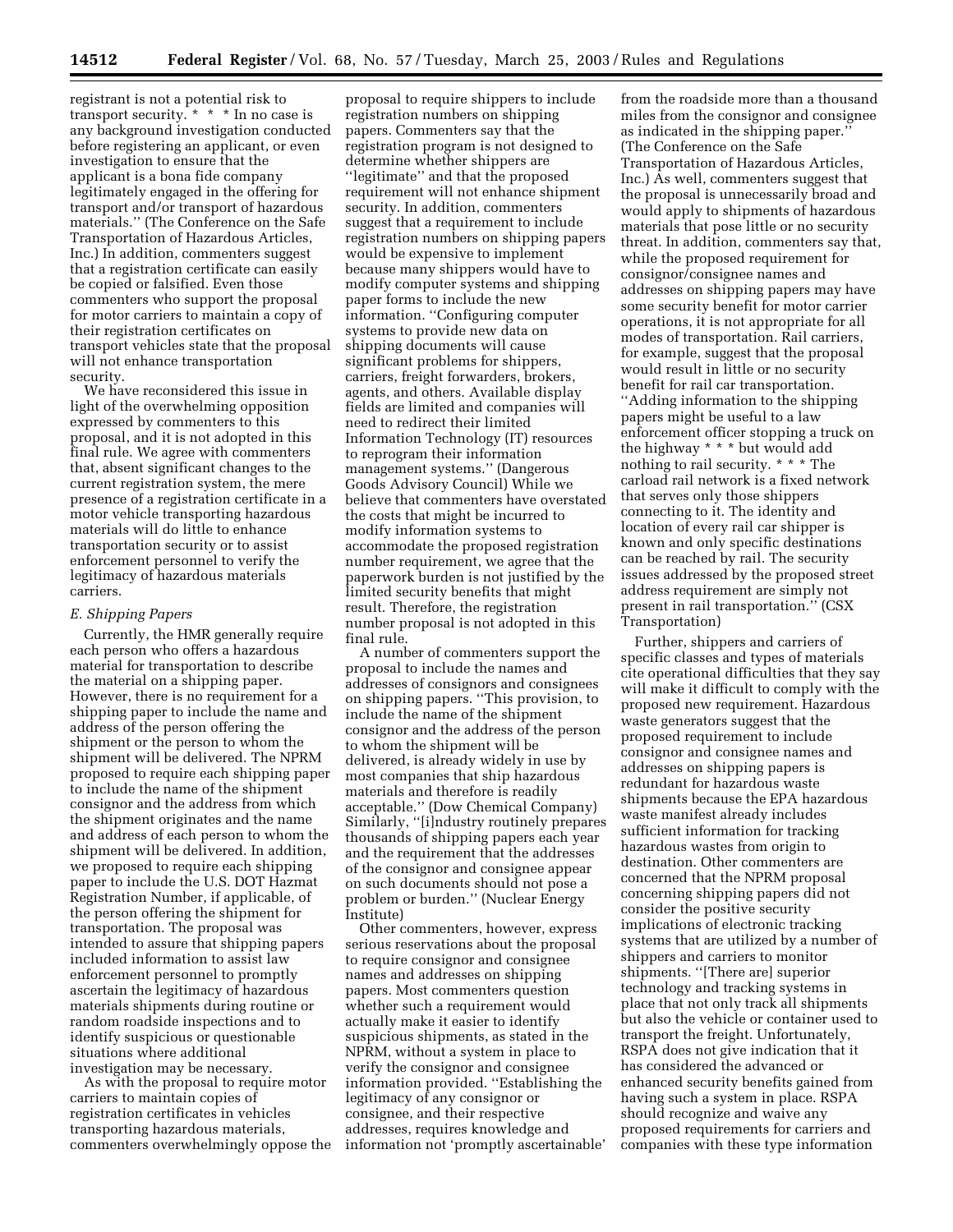registrant is not a potential risk to transport security. \* \* \* In no case is any background investigation conducted before registering an applicant, or even investigation to ensure that the applicant is a bona fide company legitimately engaged in the offering for transport and/or transport of hazardous materials.'' (The Conference on the Safe Transportation of Hazardous Articles, Inc.) In addition, commenters suggest that a registration certificate can easily be copied or falsified. Even those commenters who support the proposal for motor carriers to maintain a copy of their registration certificates on transport vehicles state that the proposal will not enhance transportation security.

We have reconsidered this issue in light of the overwhelming opposition expressed by commenters to this proposal, and it is not adopted in this final rule. We agree with commenters that, absent significant changes to the current registration system, the mere presence of a registration certificate in a motor vehicle transporting hazardous materials will do little to enhance transportation security or to assist enforcement personnel to verify the legitimacy of hazardous materials carriers.

#### *E. Shipping Papers*

Currently, the HMR generally require each person who offers a hazardous material for transportation to describe the material on a shipping paper. However, there is no requirement for a shipping paper to include the name and address of the person offering the shipment or the person to whom the shipment will be delivered. The NPRM proposed to require each shipping paper to include the name of the shipment consignor and the address from which the shipment originates and the name and address of each person to whom the shipment will be delivered. In addition, we proposed to require each shipping paper to include the U.S. DOT Hazmat Registration Number, if applicable, of the person offering the shipment for transportation. The proposal was intended to assure that shipping papers included information to assist law enforcement personnel to promptly ascertain the legitimacy of hazardous materials shipments during routine or random roadside inspections and to identify suspicious or questionable situations where additional investigation may be necessary.

As with the proposal to require motor carriers to maintain copies of registration certificates in vehicles transporting hazardous materials, commenters overwhelmingly oppose the

proposal to require shippers to include registration numbers on shipping papers. Commenters say that the registration program is not designed to determine whether shippers are ''legitimate'' and that the proposed requirement will not enhance shipment security. In addition, commenters suggest that a requirement to include registration numbers on shipping papers would be expensive to implement because many shippers would have to modify computer systems and shipping paper forms to include the new information. ''Configuring computer systems to provide new data on shipping documents will cause significant problems for shippers, carriers, freight forwarders, brokers, agents, and others. Available display fields are limited and companies will need to redirect their limited Information Technology (IT) resources to reprogram their information management systems.'' (Dangerous Goods Advisory Council) While we believe that commenters have overstated the costs that might be incurred to modify information systems to accommodate the proposed registration number requirement, we agree that the paperwork burden is not justified by the limited security benefits that might result. Therefore, the registration number proposal is not adopted in this final rule.

A number of commenters support the proposal to include the names and addresses of consignors and consignees on shipping papers. ''This provision, to include the name of the shipment consignor and the address of the person to whom the shipment will be delivered, is already widely in use by most companies that ship hazardous materials and therefore is readily acceptable.'' (Dow Chemical Company) Similarly, ''[i]ndustry routinely prepares thousands of shipping papers each year and the requirement that the addresses of the consignor and consignee appear on such documents should not pose a problem or burden.'' (Nuclear Energy Institute)

Other commenters, however, express serious reservations about the proposal to require consignor and consignee names and addresses on shipping papers. Most commenters question whether such a requirement would actually make it easier to identify suspicious shipments, as stated in the NPRM, without a system in place to verify the consignor and consignee information provided. ''Establishing the legitimacy of any consignor or consignee, and their respective addresses, requires knowledge and information not 'promptly ascertainable'

from the roadside more than a thousand miles from the consignor and consignee as indicated in the shipping paper.'' (The Conference on the Safe Transportation of Hazardous Articles, Inc.) As well, commenters suggest that the proposal is unnecessarily broad and would apply to shipments of hazardous materials that pose little or no security threat. In addition, commenters say that, while the proposed requirement for consignor/consignee names and addresses on shipping papers may have some security benefit for motor carrier operations, it is not appropriate for all modes of transportation. Rail carriers, for example, suggest that the proposal would result in little or no security benefit for rail car transportation. ''Adding information to the shipping papers might be useful to a law enforcement officer stopping a truck on the highway \* \* \* but would add nothing to rail security. \* \* \* The carload rail network is a fixed network that serves only those shippers connecting to it. The identity and location of every rail car shipper is known and only specific destinations can be reached by rail. The security issues addressed by the proposed street address requirement are simply not present in rail transportation.'' (CSX Transportation)

Further, shippers and carriers of specific classes and types of materials cite operational difficulties that they say will make it difficult to comply with the proposed new requirement. Hazardous waste generators suggest that the proposed requirement to include consignor and consignee names and addresses on shipping papers is redundant for hazardous waste shipments because the EPA hazardous waste manifest already includes sufficient information for tracking hazardous wastes from origin to destination. Other commenters are concerned that the NPRM proposal concerning shipping papers did not consider the positive security implications of electronic tracking systems that are utilized by a number of shippers and carriers to monitor shipments. "[There are] superior technology and tracking systems in place that not only track all shipments but also the vehicle or container used to transport the freight. Unfortunately, RSPA does not give indication that it has considered the advanced or enhanced security benefits gained from having such a system in place. RSPA should recognize and waive any proposed requirements for carriers and companies with these type information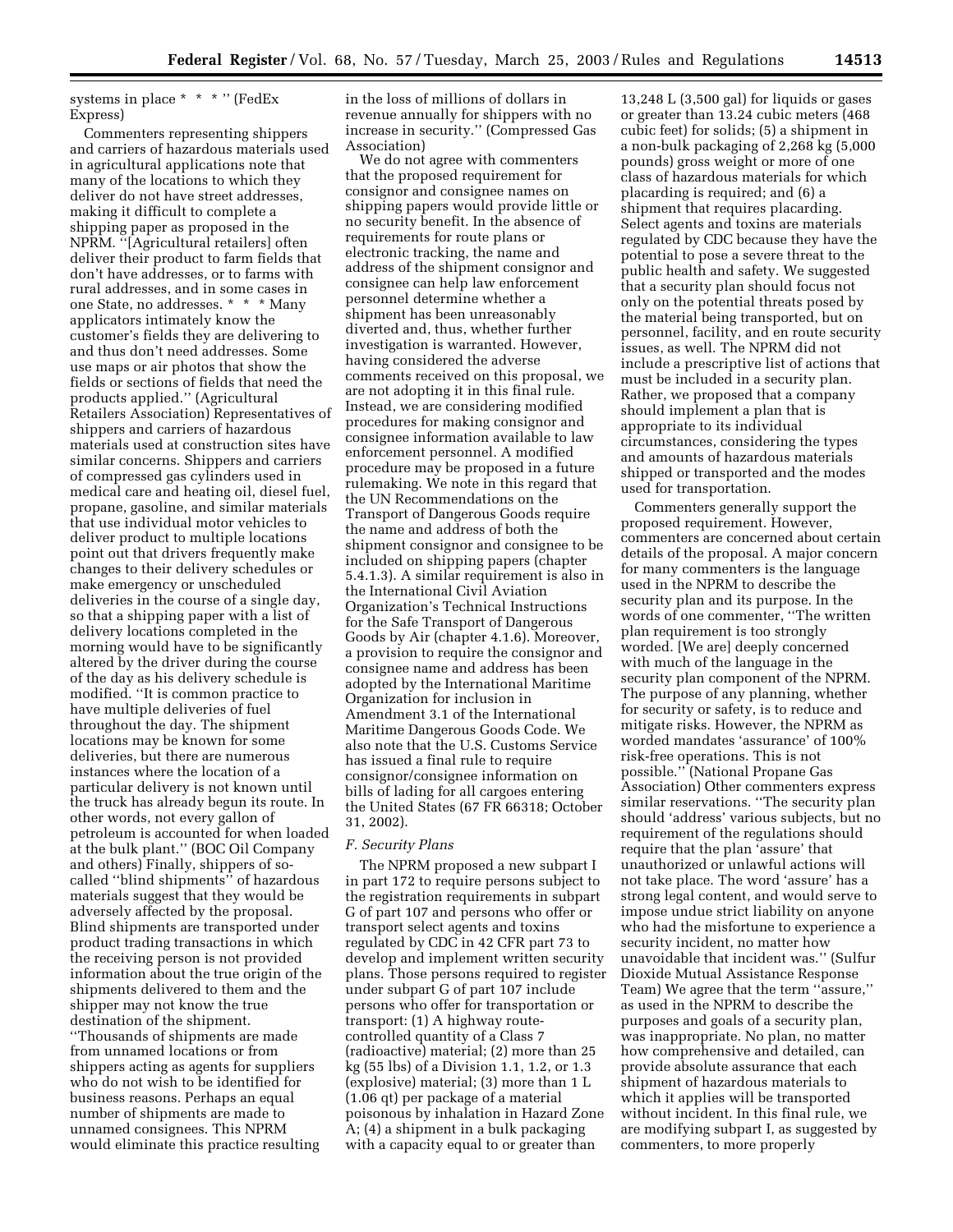# systems in place \* \* \* '' (FedEx Express)

Commenters representing shippers and carriers of hazardous materials used in agricultural applications note that many of the locations to which they deliver do not have street addresses, making it difficult to complete a shipping paper as proposed in the NPRM. ''[Agricultural retailers] often deliver their product to farm fields that don't have addresses, or to farms with rural addresses, and in some cases in one State, no addresses. \* \* \* Many applicators intimately know the customer's fields they are delivering to and thus don't need addresses. Some use maps or air photos that show the fields or sections of fields that need the products applied.'' (Agricultural Retailers Association) Representatives of shippers and carriers of hazardous materials used at construction sites have similar concerns. Shippers and carriers of compressed gas cylinders used in medical care and heating oil, diesel fuel, propane, gasoline, and similar materials that use individual motor vehicles to deliver product to multiple locations point out that drivers frequently make changes to their delivery schedules or make emergency or unscheduled deliveries in the course of a single day, so that a shipping paper with a list of delivery locations completed in the morning would have to be significantly altered by the driver during the course of the day as his delivery schedule is modified. ''It is common practice to have multiple deliveries of fuel throughout the day. The shipment locations may be known for some deliveries, but there are numerous instances where the location of a particular delivery is not known until the truck has already begun its route. In other words, not every gallon of petroleum is accounted for when loaded at the bulk plant.'' (BOC Oil Company and others) Finally, shippers of socalled ''blind shipments'' of hazardous materials suggest that they would be adversely affected by the proposal. Blind shipments are transported under product trading transactions in which the receiving person is not provided information about the true origin of the shipments delivered to them and the shipper may not know the true destination of the shipment. ''Thousands of shipments are made from unnamed locations or from shippers acting as agents for suppliers who do not wish to be identified for business reasons. Perhaps an equal number of shipments are made to unnamed consignees. This NPRM would eliminate this practice resulting

in the loss of millions of dollars in revenue annually for shippers with no increase in security.'' (Compressed Gas Association)

We do not agree with commenters that the proposed requirement for consignor and consignee names on shipping papers would provide little or no security benefit. In the absence of requirements for route plans or electronic tracking, the name and address of the shipment consignor and consignee can help law enforcement personnel determine whether a shipment has been unreasonably diverted and, thus, whether further investigation is warranted. However, having considered the adverse comments received on this proposal, we are not adopting it in this final rule. Instead, we are considering modified procedures for making consignor and consignee information available to law enforcement personnel. A modified procedure may be proposed in a future rulemaking. We note in this regard that the UN Recommendations on the Transport of Dangerous Goods require the name and address of both the shipment consignor and consignee to be included on shipping papers (chapter 5.4.1.3). A similar requirement is also in the International Civil Aviation Organization's Technical Instructions for the Safe Transport of Dangerous Goods by Air (chapter 4.1.6). Moreover, a provision to require the consignor and consignee name and address has been adopted by the International Maritime Organization for inclusion in Amendment 3.1 of the International Maritime Dangerous Goods Code. We also note that the U.S. Customs Service has issued a final rule to require consignor/consignee information on bills of lading for all cargoes entering the United States (67 FR 66318; October 31, 2002).

# *F. Security Plans*

The NPRM proposed a new subpart I in part 172 to require persons subject to the registration requirements in subpart G of part 107 and persons who offer or transport select agents and toxins regulated by CDC in 42 CFR part 73 to develop and implement written security plans. Those persons required to register under subpart G of part 107 include persons who offer for transportation or transport: (1) A highway routecontrolled quantity of a Class 7 (radioactive) material; (2) more than 25 kg (55 lbs) of a Division 1.1, 1.2, or 1.3 (explosive) material; (3) more than 1 L (1.06 qt) per package of a material poisonous by inhalation in Hazard Zone A; (4) a shipment in a bulk packaging with a capacity equal to or greater than

13,248 L (3,500 gal) for liquids or gases or greater than 13.24 cubic meters (468 cubic feet) for solids; (5) a shipment in a non-bulk packaging of 2,268 kg (5,000 pounds) gross weight or more of one class of hazardous materials for which placarding is required; and (6) a shipment that requires placarding. Select agents and toxins are materials regulated by CDC because they have the potential to pose a severe threat to the public health and safety. We suggested that a security plan should focus not only on the potential threats posed by the material being transported, but on personnel, facility, and en route security issues, as well. The NPRM did not include a prescriptive list of actions that must be included in a security plan. Rather, we proposed that a company should implement a plan that is appropriate to its individual circumstances, considering the types and amounts of hazardous materials shipped or transported and the modes used for transportation.

Commenters generally support the proposed requirement. However, commenters are concerned about certain details of the proposal. A major concern for many commenters is the language used in the NPRM to describe the security plan and its purpose. In the words of one commenter, ''The written plan requirement is too strongly worded. [We are] deeply concerned with much of the language in the security plan component of the NPRM. The purpose of any planning, whether for security or safety, is to reduce and mitigate risks. However, the NPRM as worded mandates 'assurance' of 100% risk-free operations. This is not possible.'' (National Propane Gas Association) Other commenters express similar reservations. ''The security plan should 'address' various subjects, but no requirement of the regulations should require that the plan 'assure' that unauthorized or unlawful actions will not take place. The word 'assure' has a strong legal content, and would serve to impose undue strict liability on anyone who had the misfortune to experience a security incident, no matter how unavoidable that incident was.'' (Sulfur Dioxide Mutual Assistance Response Team) We agree that the term ''assure,'' as used in the NPRM to describe the purposes and goals of a security plan, was inappropriate. No plan, no matter how comprehensive and detailed, can provide absolute assurance that each shipment of hazardous materials to which it applies will be transported without incident. In this final rule, we are modifying subpart I, as suggested by commenters, to more properly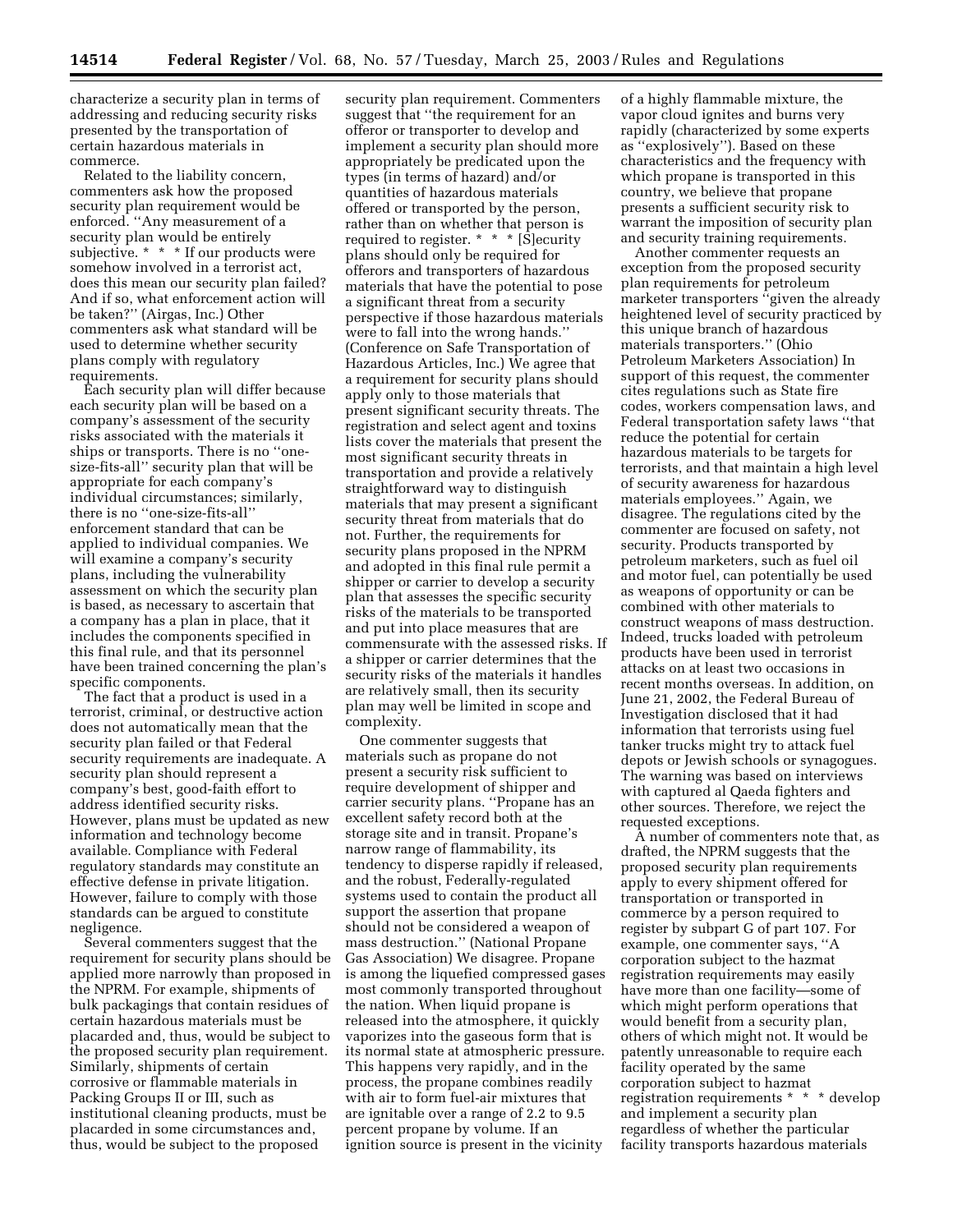characterize a security plan in terms of addressing and reducing security risks presented by the transportation of certain hazardous materials in commerce.

Related to the liability concern, commenters ask how the proposed security plan requirement would be enforced. ''Any measurement of a security plan would be entirely subjective. \* \* \* If our products were somehow involved in a terrorist act, does this mean our security plan failed? And if so, what enforcement action will be taken?'' (Airgas, Inc.) Other commenters ask what standard will be used to determine whether security plans comply with regulatory requirements.

Each security plan will differ because each security plan will be based on a company's assessment of the security risks associated with the materials it ships or transports. There is no ''onesize-fits-all'' security plan that will be appropriate for each company's individual circumstances; similarly, there is no ''one-size-fits-all'' enforcement standard that can be applied to individual companies. We will examine a company's security plans, including the vulnerability assessment on which the security plan is based, as necessary to ascertain that a company has a plan in place, that it includes the components specified in this final rule, and that its personnel have been trained concerning the plan's specific components.

The fact that a product is used in a terrorist, criminal, or destructive action does not automatically mean that the security plan failed or that Federal security requirements are inadequate. A security plan should represent a company's best, good-faith effort to address identified security risks. However, plans must be updated as new information and technology become available. Compliance with Federal regulatory standards may constitute an effective defense in private litigation. However, failure to comply with those standards can be argued to constitute negligence.

Several commenters suggest that the requirement for security plans should be applied more narrowly than proposed in the NPRM. For example, shipments of bulk packagings that contain residues of certain hazardous materials must be placarded and, thus, would be subject to the proposed security plan requirement. Similarly, shipments of certain corrosive or flammable materials in Packing Groups II or III, such as institutional cleaning products, must be placarded in some circumstances and, thus, would be subject to the proposed

security plan requirement. Commenters suggest that ''the requirement for an offeror or transporter to develop and implement a security plan should more appropriately be predicated upon the types (in terms of hazard) and/or quantities of hazardous materials offered or transported by the person, rather than on whether that person is required to register. \* \* \* [S]ecurity plans should only be required for offerors and transporters of hazardous materials that have the potential to pose a significant threat from a security perspective if those hazardous materials were to fall into the wrong hands.'' (Conference on Safe Transportation of Hazardous Articles, Inc.) We agree that a requirement for security plans should apply only to those materials that present significant security threats. The registration and select agent and toxins lists cover the materials that present the most significant security threats in transportation and provide a relatively straightforward way to distinguish materials that may present a significant security threat from materials that do not. Further, the requirements for security plans proposed in the NPRM and adopted in this final rule permit a shipper or carrier to develop a security plan that assesses the specific security risks of the materials to be transported and put into place measures that are commensurate with the assessed risks. If a shipper or carrier determines that the security risks of the materials it handles are relatively small, then its security plan may well be limited in scope and complexity.

One commenter suggests that materials such as propane do not present a security risk sufficient to require development of shipper and carrier security plans. ''Propane has an excellent safety record both at the storage site and in transit. Propane's narrow range of flammability, its tendency to disperse rapidly if released, and the robust, Federally-regulated systems used to contain the product all support the assertion that propane should not be considered a weapon of mass destruction.'' (National Propane Gas Association) We disagree. Propane is among the liquefied compressed gases most commonly transported throughout the nation. When liquid propane is released into the atmosphere, it quickly vaporizes into the gaseous form that is its normal state at atmospheric pressure. This happens very rapidly, and in the process, the propane combines readily with air to form fuel-air mixtures that are ignitable over a range of 2.2 to 9.5 percent propane by volume. If an ignition source is present in the vicinity

of a highly flammable mixture, the vapor cloud ignites and burns very rapidly (characterized by some experts as ''explosively''). Based on these characteristics and the frequency with which propane is transported in this country, we believe that propane presents a sufficient security risk to warrant the imposition of security plan and security training requirements.

Another commenter requests an exception from the proposed security plan requirements for petroleum marketer transporters ''given the already heightened level of security practiced by this unique branch of hazardous materials transporters.'' (Ohio Petroleum Marketers Association) In support of this request, the commenter cites regulations such as State fire codes, workers compensation laws, and Federal transportation safety laws ''that reduce the potential for certain hazardous materials to be targets for terrorists, and that maintain a high level of security awareness for hazardous materials employees.'' Again, we disagree. The regulations cited by the commenter are focused on safety, not security. Products transported by petroleum marketers, such as fuel oil and motor fuel, can potentially be used as weapons of opportunity or can be combined with other materials to construct weapons of mass destruction. Indeed, trucks loaded with petroleum products have been used in terrorist attacks on at least two occasions in recent months overseas. In addition, on June 21, 2002, the Federal Bureau of Investigation disclosed that it had information that terrorists using fuel tanker trucks might try to attack fuel depots or Jewish schools or synagogues. The warning was based on interviews with captured al Qaeda fighters and other sources. Therefore, we reject the requested exceptions.

A number of commenters note that, as drafted, the NPRM suggests that the proposed security plan requirements apply to every shipment offered for transportation or transported in commerce by a person required to register by subpart G of part 107. For example, one commenter says, ''A corporation subject to the hazmat registration requirements may easily have more than one facility—some of which might perform operations that would benefit from a security plan, others of which might not. It would be patently unreasonable to require each facility operated by the same corporation subject to hazmat registration requirements \* \* \* develop and implement a security plan regardless of whether the particular facility transports hazardous materials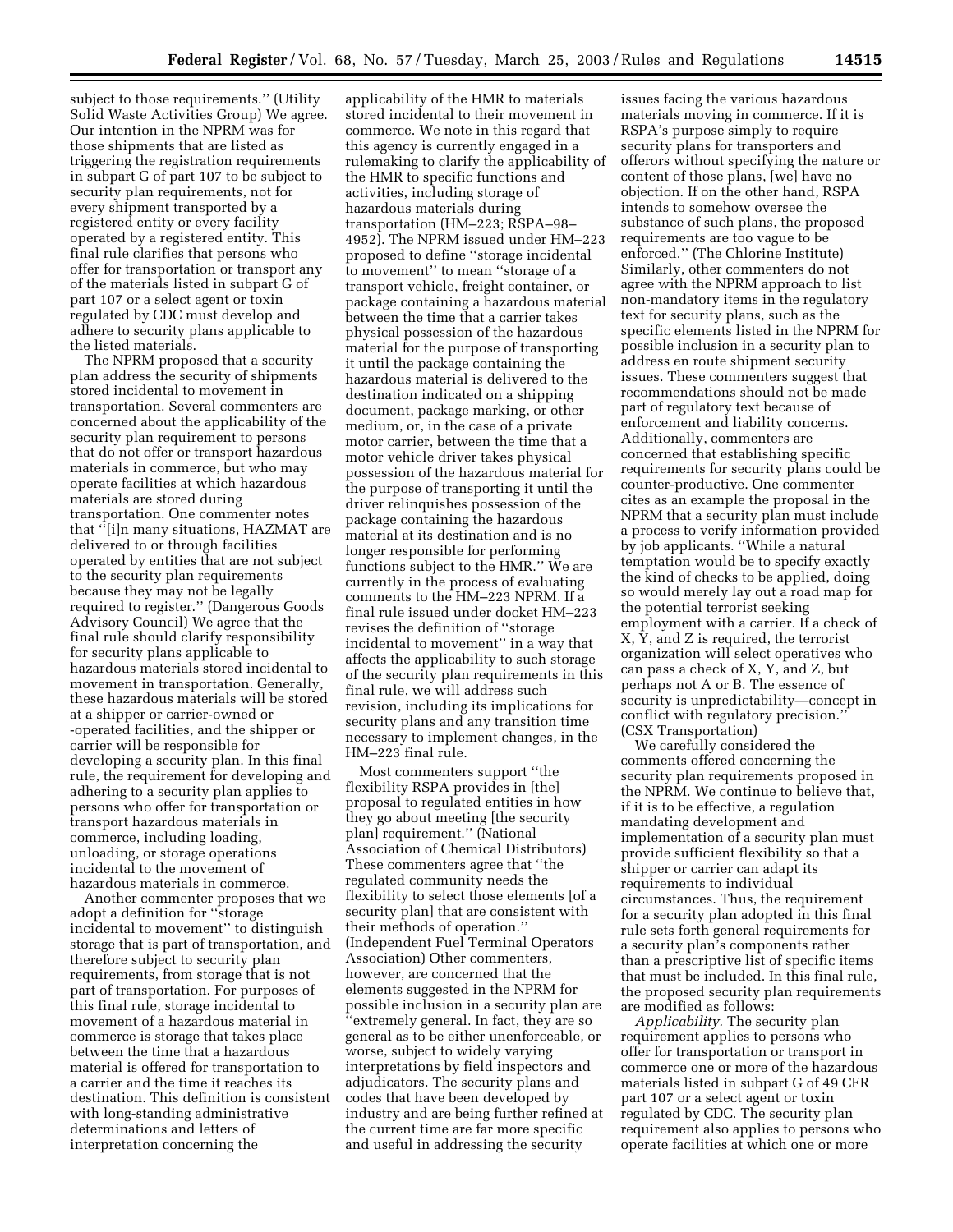subject to those requirements.'' (Utility Solid Waste Activities Group) We agree. Our intention in the NPRM was for those shipments that are listed as triggering the registration requirements in subpart G of part 107 to be subject to security plan requirements, not for every shipment transported by a registered entity or every facility operated by a registered entity. This final rule clarifies that persons who offer for transportation or transport any of the materials listed in subpart G of part 107 or a select agent or toxin regulated by CDC must develop and adhere to security plans applicable to the listed materials.

The NPRM proposed that a security plan address the security of shipments stored incidental to movement in transportation. Several commenters are concerned about the applicability of the security plan requirement to persons that do not offer or transport hazardous materials in commerce, but who may operate facilities at which hazardous materials are stored during transportation. One commenter notes that ''[i]n many situations, HAZMAT are delivered to or through facilities operated by entities that are not subject to the security plan requirements because they may not be legally required to register.'' (Dangerous Goods Advisory Council) We agree that the final rule should clarify responsibility for security plans applicable to hazardous materials stored incidental to movement in transportation. Generally, these hazardous materials will be stored at a shipper or carrier-owned or -operated facilities, and the shipper or carrier will be responsible for developing a security plan. In this final rule, the requirement for developing and adhering to a security plan applies to persons who offer for transportation or transport hazardous materials in commerce, including loading, unloading, or storage operations incidental to the movement of hazardous materials in commerce.

Another commenter proposes that we adopt a definition for ''storage incidental to movement'' to distinguish storage that is part of transportation, and therefore subject to security plan requirements, from storage that is not part of transportation. For purposes of this final rule, storage incidental to movement of a hazardous material in commerce is storage that takes place between the time that a hazardous material is offered for transportation to a carrier and the time it reaches its destination. This definition is consistent with long-standing administrative determinations and letters of interpretation concerning the

applicability of the HMR to materials stored incidental to their movement in commerce. We note in this regard that this agency is currently engaged in a rulemaking to clarify the applicability of the HMR to specific functions and activities, including storage of hazardous materials during transportation (HM–223; RSPA–98– 4952). The NPRM issued under HM–223 proposed to define ''storage incidental to movement'' to mean ''storage of a transport vehicle, freight container, or package containing a hazardous material between the time that a carrier takes physical possession of the hazardous material for the purpose of transporting it until the package containing the hazardous material is delivered to the destination indicated on a shipping document, package marking, or other medium, or, in the case of a private motor carrier, between the time that a motor vehicle driver takes physical possession of the hazardous material for the purpose of transporting it until the driver relinquishes possession of the package containing the hazardous material at its destination and is no longer responsible for performing functions subject to the HMR.'' We are currently in the process of evaluating comments to the HM–223 NPRM. If a final rule issued under docket HM–223 revises the definition of ''storage incidental to movement'' in a way that affects the applicability to such storage of the security plan requirements in this final rule, we will address such revision, including its implications for security plans and any transition time necessary to implement changes, in the HM–223 final rule.

Most commenters support ''the flexibility RSPA provides in [the] proposal to regulated entities in how they go about meeting [the security plan] requirement.'' (National Association of Chemical Distributors) These commenters agree that ''the regulated community needs the flexibility to select those elements [of a security plan] that are consistent with their methods of operation.'' (Independent Fuel Terminal Operators Association) Other commenters, however, are concerned that the elements suggested in the NPRM for possible inclusion in a security plan are ''extremely general. In fact, they are so general as to be either unenforceable, or worse, subject to widely varying interpretations by field inspectors and adjudicators. The security plans and codes that have been developed by industry and are being further refined at the current time are far more specific and useful in addressing the security

issues facing the various hazardous materials moving in commerce. If it is RSPA's purpose simply to require security plans for transporters and offerors without specifying the nature or content of those plans, [we] have no objection. If on the other hand, RSPA intends to somehow oversee the substance of such plans, the proposed requirements are too vague to be enforced.'' (The Chlorine Institute) Similarly, other commenters do not agree with the NPRM approach to list non-mandatory items in the regulatory text for security plans, such as the specific elements listed in the NPRM for possible inclusion in a security plan to address en route shipment security issues. These commenters suggest that recommendations should not be made part of regulatory text because of enforcement and liability concerns. Additionally, commenters are concerned that establishing specific requirements for security plans could be counter-productive. One commenter cites as an example the proposal in the NPRM that a security plan must include a process to verify information provided by job applicants. ''While a natural temptation would be to specify exactly the kind of checks to be applied, doing so would merely lay out a road map for the potential terrorist seeking employment with a carrier. If a check of X, Y, and Z is required, the terrorist organization will select operatives who can pass a check of X, Y, and Z, but perhaps not A or B. The essence of security is unpredictability—concept in conflict with regulatory precision.'' (CSX Transportation)

We carefully considered the comments offered concerning the security plan requirements proposed in the NPRM. We continue to believe that, if it is to be effective, a regulation mandating development and implementation of a security plan must provide sufficient flexibility so that a shipper or carrier can adapt its requirements to individual circumstances. Thus, the requirement for a security plan adopted in this final rule sets forth general requirements for a security plan's components rather than a prescriptive list of specific items that must be included. In this final rule, the proposed security plan requirements are modified as follows:

*Applicability.* The security plan requirement applies to persons who offer for transportation or transport in commerce one or more of the hazardous materials listed in subpart G of 49 CFR part 107 or a select agent or toxin regulated by CDC. The security plan requirement also applies to persons who operate facilities at which one or more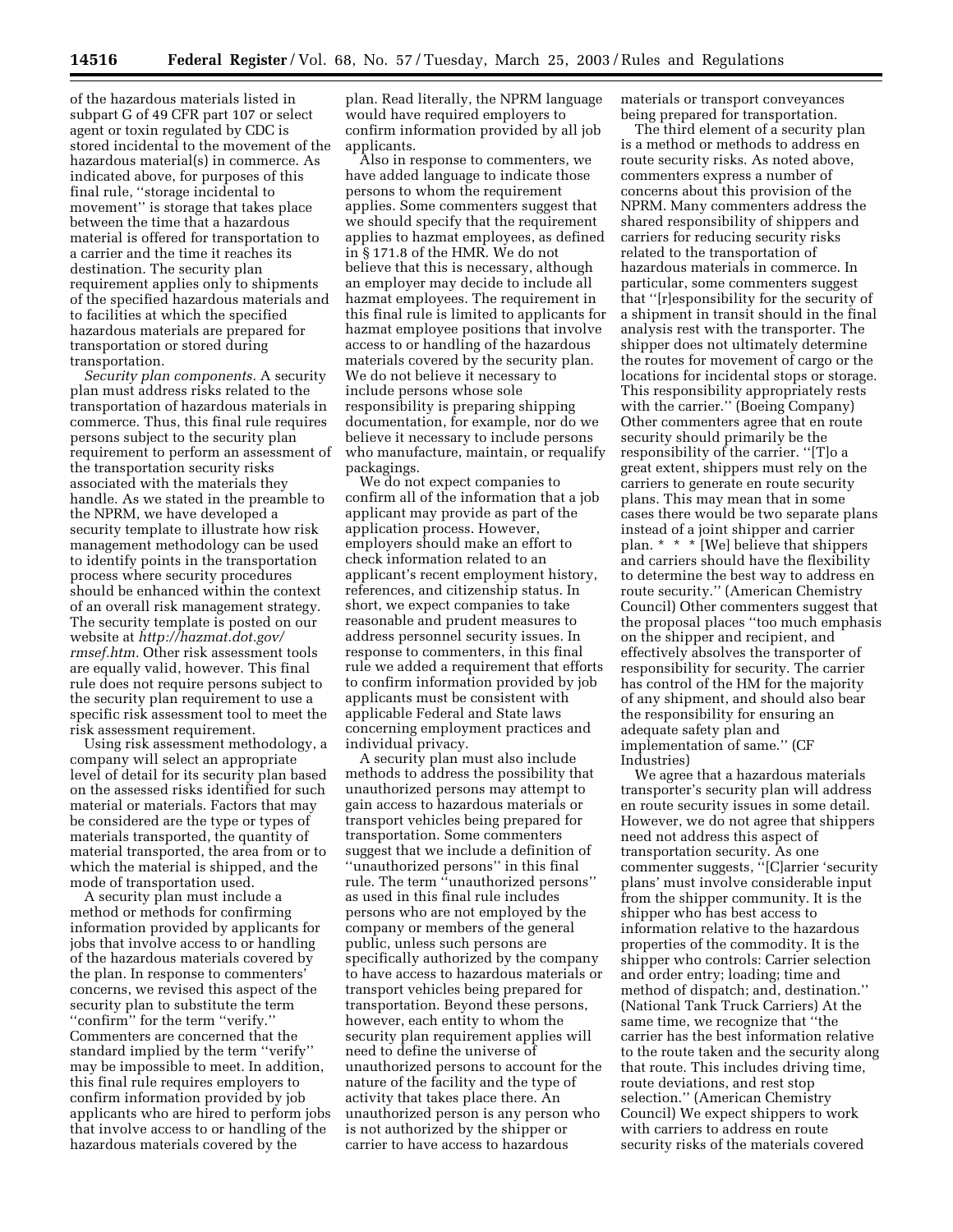of the hazardous materials listed in subpart G of 49 CFR part 107 or select agent or toxin regulated by CDC is stored incidental to the movement of the hazardous material(s) in commerce. As indicated above, for purposes of this final rule, ''storage incidental to movement'' is storage that takes place between the time that a hazardous material is offered for transportation to a carrier and the time it reaches its destination. The security plan requirement applies only to shipments of the specified hazardous materials and to facilities at which the specified hazardous materials are prepared for transportation or stored during transportation.

*Security plan components.* A security plan must address risks related to the transportation of hazardous materials in commerce. Thus, this final rule requires persons subject to the security plan requirement to perform an assessment of the transportation security risks associated with the materials they handle. As we stated in the preamble to the NPRM, we have developed a security template to illustrate how risk management methodology can be used to identify points in the transportation process where security procedures should be enhanced within the context of an overall risk management strategy. The security template is posted on our website at *http://hazmat.dot.gov/ rmsef.htm.* Other risk assessment tools are equally valid, however. This final rule does not require persons subject to the security plan requirement to use a specific risk assessment tool to meet the risk assessment requirement.

Using risk assessment methodology, a company will select an appropriate level of detail for its security plan based on the assessed risks identified for such material or materials. Factors that may be considered are the type or types of materials transported, the quantity of material transported, the area from or to which the material is shipped, and the mode of transportation used.

A security plan must include a method or methods for confirming information provided by applicants for jobs that involve access to or handling of the hazardous materials covered by the plan. In response to commenters' concerns, we revised this aspect of the security plan to substitute the term ''confirm'' for the term ''verify.'' Commenters are concerned that the standard implied by the term ''verify'' may be impossible to meet. In addition, this final rule requires employers to confirm information provided by job applicants who are hired to perform jobs that involve access to or handling of the hazardous materials covered by the

plan. Read literally, the NPRM language would have required employers to confirm information provided by all job applicants.

Also in response to commenters, we have added language to indicate those persons to whom the requirement applies. Some commenters suggest that we should specify that the requirement applies to hazmat employees, as defined in § 171.8 of the HMR. We do not believe that this is necessary, although an employer may decide to include all hazmat employees. The requirement in this final rule is limited to applicants for hazmat employee positions that involve access to or handling of the hazardous materials covered by the security plan. We do not believe it necessary to include persons whose sole responsibility is preparing shipping documentation, for example, nor do we believe it necessary to include persons who manufacture, maintain, or requalify packagings.

We do not expect companies to confirm all of the information that a job applicant may provide as part of the application process. However, employers should make an effort to check information related to an applicant's recent employment history, references, and citizenship status. In short, we expect companies to take reasonable and prudent measures to address personnel security issues. In response to commenters, in this final rule we added a requirement that efforts to confirm information provided by job applicants must be consistent with applicable Federal and State laws concerning employment practices and individual privacy.

A security plan must also include methods to address the possibility that unauthorized persons may attempt to gain access to hazardous materials or transport vehicles being prepared for transportation. Some commenters suggest that we include a definition of ''unauthorized persons'' in this final rule. The term ''unauthorized persons'' as used in this final rule includes persons who are not employed by the company or members of the general public, unless such persons are specifically authorized by the company to have access to hazardous materials or transport vehicles being prepared for transportation. Beyond these persons, however, each entity to whom the security plan requirement applies will need to define the universe of unauthorized persons to account for the nature of the facility and the type of activity that takes place there. An unauthorized person is any person who is not authorized by the shipper or carrier to have access to hazardous

materials or transport conveyances being prepared for transportation.

The third element of a security plan is a method or methods to address en route security risks. As noted above, commenters express a number of concerns about this provision of the NPRM. Many commenters address the shared responsibility of shippers and carriers for reducing security risks related to the transportation of hazardous materials in commerce. In particular, some commenters suggest that ''[r]esponsibility for the security of a shipment in transit should in the final analysis rest with the transporter. The shipper does not ultimately determine the routes for movement of cargo or the locations for incidental stops or storage. This responsibility appropriately rests with the carrier.'' (Boeing Company) Other commenters agree that en route security should primarily be the responsibility of the carrier. ''[T]o a great extent, shippers must rely on the carriers to generate en route security plans. This may mean that in some cases there would be two separate plans instead of a joint shipper and carrier plan. \* \* \* [We] believe that shippers and carriers should have the flexibility to determine the best way to address en route security.'' (American Chemistry Council) Other commenters suggest that the proposal places ''too much emphasis on the shipper and recipient, and effectively absolves the transporter of responsibility for security. The carrier has control of the HM for the majority of any shipment, and should also bear the responsibility for ensuring an adequate safety plan and implementation of same.'' (CF Industries)

We agree that a hazardous materials transporter's security plan will address en route security issues in some detail. However, we do not agree that shippers need not address this aspect of transportation security. As one commenter suggests, "[C]arrier 'security plans' must involve considerable input from the shipper community. It is the shipper who has best access to information relative to the hazardous properties of the commodity. It is the shipper who controls: Carrier selection and order entry; loading; time and method of dispatch; and, destination.'' (National Tank Truck Carriers) At the same time, we recognize that ''the carrier has the best information relative to the route taken and the security along that route. This includes driving time, route deviations, and rest stop selection.'' (American Chemistry Council) We expect shippers to work with carriers to address en route security risks of the materials covered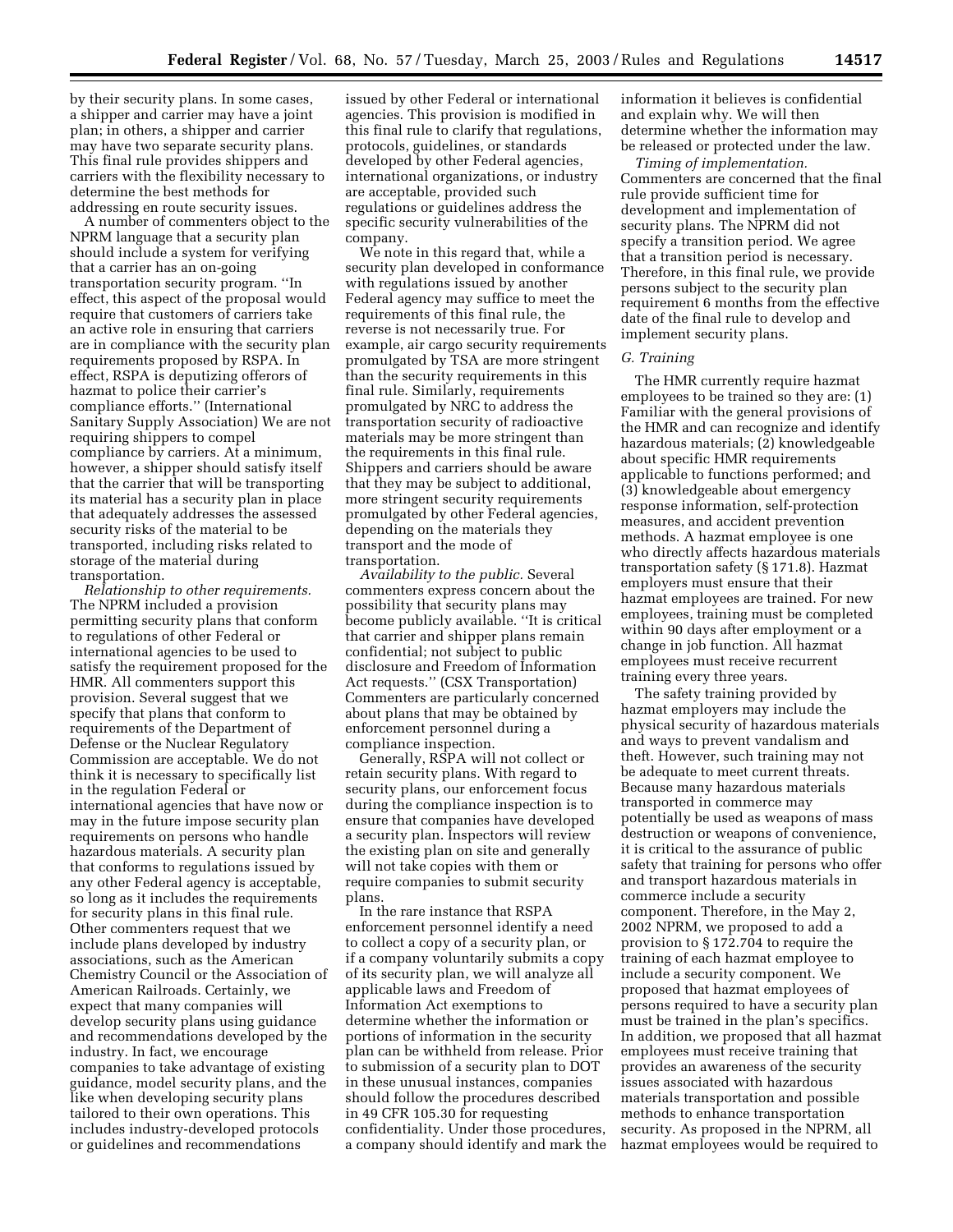by their security plans. In some cases, a shipper and carrier may have a joint plan; in others, a shipper and carrier may have two separate security plans. This final rule provides shippers and carriers with the flexibility necessary to determine the best methods for addressing en route security issues.

A number of commenters object to the NPRM language that a security plan should include a system for verifying that a carrier has an on-going transportation security program. ''In effect, this aspect of the proposal would require that customers of carriers take an active role in ensuring that carriers are in compliance with the security plan requirements proposed by RSPA. In effect, RSPA is deputizing offerors of hazmat to police their carrier's compliance efforts.'' (International Sanitary Supply Association) We are not requiring shippers to compel compliance by carriers. At a minimum, however, a shipper should satisfy itself that the carrier that will be transporting its material has a security plan in place that adequately addresses the assessed security risks of the material to be transported, including risks related to storage of the material during transportation.

*Relationship to other requirements.* The NPRM included a provision permitting security plans that conform to regulations of other Federal or international agencies to be used to satisfy the requirement proposed for the HMR. All commenters support this provision. Several suggest that we specify that plans that conform to requirements of the Department of Defense or the Nuclear Regulatory Commission are acceptable. We do not think it is necessary to specifically list in the regulation Federal or international agencies that have now or may in the future impose security plan requirements on persons who handle hazardous materials. A security plan that conforms to regulations issued by any other Federal agency is acceptable, so long as it includes the requirements for security plans in this final rule. Other commenters request that we include plans developed by industry associations, such as the American Chemistry Council or the Association of American Railroads. Certainly, we expect that many companies will develop security plans using guidance and recommendations developed by the industry. In fact, we encourage companies to take advantage of existing guidance, model security plans, and the like when developing security plans tailored to their own operations. This includes industry-developed protocols or guidelines and recommendations

issued by other Federal or international agencies. This provision is modified in this final rule to clarify that regulations, protocols, guidelines, or standards developed by other Federal agencies, international organizations, or industry are acceptable, provided such regulations or guidelines address the specific security vulnerabilities of the company.

We note in this regard that, while a security plan developed in conformance with regulations issued by another Federal agency may suffice to meet the requirements of this final rule, the reverse is not necessarily true. For example, air cargo security requirements promulgated by TSA are more stringent than the security requirements in this final rule. Similarly, requirements promulgated by NRC to address the transportation security of radioactive materials may be more stringent than the requirements in this final rule. Shippers and carriers should be aware that they may be subject to additional, more stringent security requirements promulgated by other Federal agencies, depending on the materials they transport and the mode of transportation.

*Availability to the public.* Several commenters express concern about the possibility that security plans may become publicly available. ''It is critical that carrier and shipper plans remain confidential; not subject to public disclosure and Freedom of Information Act requests.'' (CSX Transportation) Commenters are particularly concerned about plans that may be obtained by enforcement personnel during a compliance inspection.

Generally, RSPA will not collect or retain security plans. With regard to security plans, our enforcement focus during the compliance inspection is to ensure that companies have developed a security plan. Inspectors will review the existing plan on site and generally will not take copies with them or require companies to submit security plans.

In the rare instance that RSPA enforcement personnel identify a need to collect a copy of a security plan, or if a company voluntarily submits a copy of its security plan, we will analyze all applicable laws and Freedom of Information Act exemptions to determine whether the information or portions of information in the security plan can be withheld from release. Prior to submission of a security plan to DOT in these unusual instances, companies should follow the procedures described in 49 CFR 105.30 for requesting confidentiality. Under those procedures, a company should identify and mark the information it believes is confidential and explain why. We will then determine whether the information may be released or protected under the law.

*Timing of implementation.* Commenters are concerned that the final rule provide sufficient time for development and implementation of security plans. The NPRM did not specify a transition period. We agree that a transition period is necessary. Therefore, in this final rule, we provide persons subject to the security plan requirement 6 months from the effective date of the final rule to develop and implement security plans.

# *G. Training*

The HMR currently require hazmat employees to be trained so they are: (1) Familiar with the general provisions of the HMR and can recognize and identify hazardous materials; (2) knowledgeable about specific HMR requirements applicable to functions performed; and (3) knowledgeable about emergency response information, self-protection measures, and accident prevention methods. A hazmat employee is one who directly affects hazardous materials transportation safety (§ 171.8). Hazmat employers must ensure that their hazmat employees are trained. For new employees, training must be completed within 90 days after employment or a change in job function. All hazmat employees must receive recurrent training every three years.

The safety training provided by hazmat employers may include the physical security of hazardous materials and ways to prevent vandalism and theft. However, such training may not be adequate to meet current threats. Because many hazardous materials transported in commerce may potentially be used as weapons of mass destruction or weapons of convenience, it is critical to the assurance of public safety that training for persons who offer and transport hazardous materials in commerce include a security component. Therefore, in the May 2, 2002 NPRM, we proposed to add a provision to § 172.704 to require the training of each hazmat employee to include a security component. We proposed that hazmat employees of persons required to have a security plan must be trained in the plan's specifics. In addition, we proposed that all hazmat employees must receive training that provides an awareness of the security issues associated with hazardous materials transportation and possible methods to enhance transportation security. As proposed in the NPRM, all hazmat employees would be required to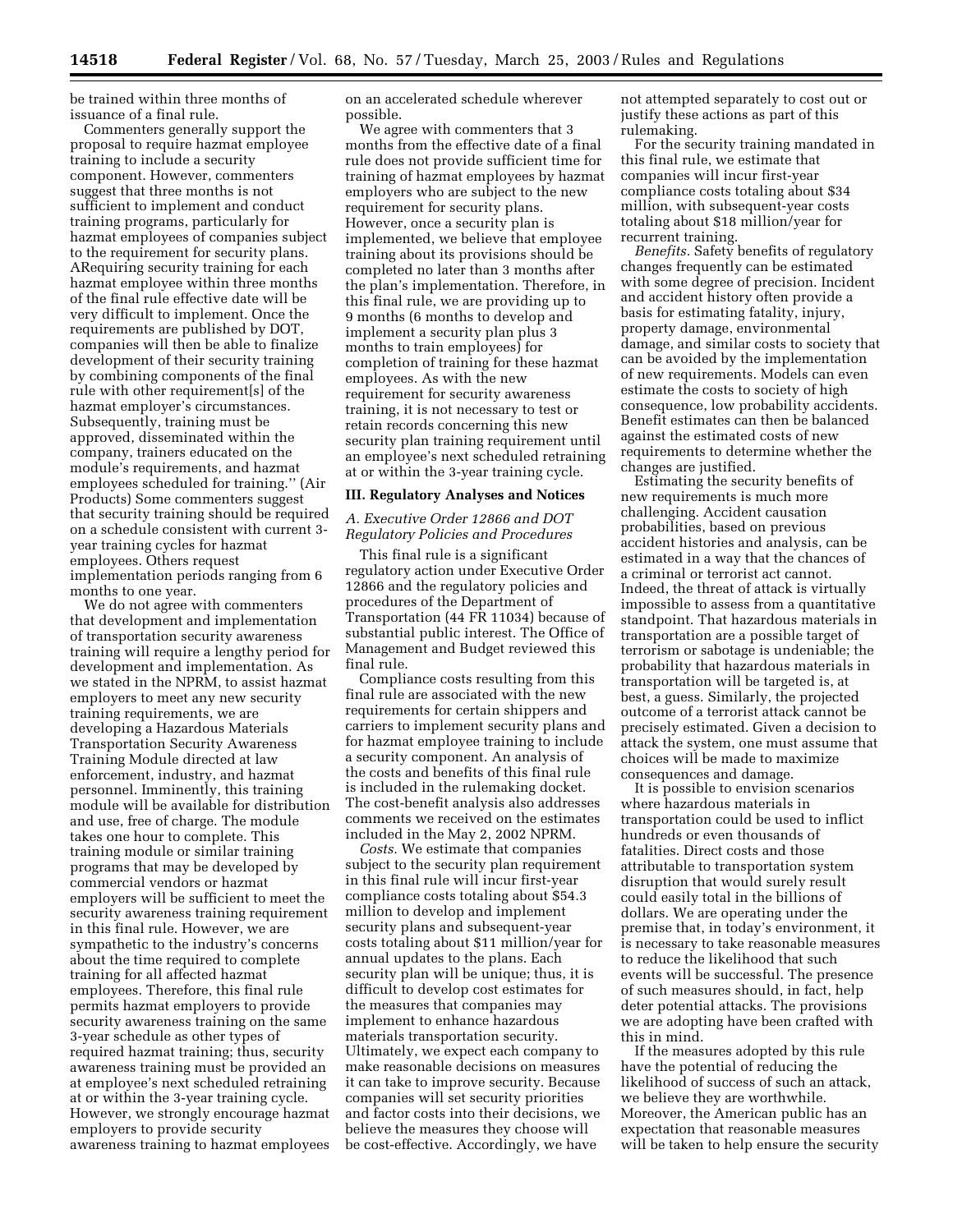be trained within three months of issuance of a final rule.

Commenters generally support the proposal to require hazmat employee training to include a security component. However, commenters suggest that three months is not sufficient to implement and conduct training programs, particularly for hazmat employees of companies subject to the requirement for security plans. ARequiring security training for each hazmat employee within three months of the final rule effective date will be very difficult to implement. Once the requirements are published by DOT, companies will then be able to finalize development of their security training by combining components of the final rule with other requirement[s] of the hazmat employer's circumstances. Subsequently, training must be approved, disseminated within the company, trainers educated on the module's requirements, and hazmat employees scheduled for training.'' (Air Products) Some commenters suggest that security training should be required on a schedule consistent with current 3 year training cycles for hazmat employees. Others request implementation periods ranging from 6 months to one year.

We do not agree with commenters that development and implementation of transportation security awareness training will require a lengthy period for development and implementation. As we stated in the NPRM, to assist hazmat employers to meet any new security training requirements, we are developing a Hazardous Materials Transportation Security Awareness Training Module directed at law enforcement, industry, and hazmat personnel. Imminently, this training module will be available for distribution and use, free of charge. The module takes one hour to complete. This training module or similar training programs that may be developed by commercial vendors or hazmat employers will be sufficient to meet the security awareness training requirement in this final rule. However, we are sympathetic to the industry's concerns about the time required to complete training for all affected hazmat employees. Therefore, this final rule permits hazmat employers to provide security awareness training on the same 3-year schedule as other types of required hazmat training; thus, security awareness training must be provided an at employee's next scheduled retraining at or within the 3-year training cycle. However, we strongly encourage hazmat employers to provide security awareness training to hazmat employees

on an accelerated schedule wherever possible.

We agree with commenters that 3 months from the effective date of a final rule does not provide sufficient time for training of hazmat employees by hazmat employers who are subject to the new requirement for security plans. However, once a security plan is implemented, we believe that employee training about its provisions should be completed no later than 3 months after the plan's implementation. Therefore, in this final rule, we are providing up to 9 months (6 months to develop and implement a security plan plus 3 months to train employees) for completion of training for these hazmat employees. As with the new requirement for security awareness training, it is not necessary to test or retain records concerning this new security plan training requirement until an employee's next scheduled retraining at or within the 3-year training cycle.

#### **III. Regulatory Analyses and Notices**

# *A. Executive Order 12866 and DOT Regulatory Policies and Procedures*

This final rule is a significant regulatory action under Executive Order 12866 and the regulatory policies and procedures of the Department of Transportation (44 FR 11034) because of substantial public interest. The Office of Management and Budget reviewed this final rule.

Compliance costs resulting from this final rule are associated with the new requirements for certain shippers and carriers to implement security plans and for hazmat employee training to include a security component. An analysis of the costs and benefits of this final rule is included in the rulemaking docket. The cost-benefit analysis also addresses comments we received on the estimates included in the May 2, 2002 NPRM.

*Costs.* We estimate that companies subject to the security plan requirement in this final rule will incur first-year compliance costs totaling about \$54.3 million to develop and implement security plans and subsequent-year costs totaling about \$11 million/year for annual updates to the plans. Each security plan will be unique; thus, it is difficult to develop cost estimates for the measures that companies may implement to enhance hazardous materials transportation security. Ultimately, we expect each company to make reasonable decisions on measures it can take to improve security. Because companies will set security priorities and factor costs into their decisions, we believe the measures they choose will be cost-effective. Accordingly, we have

not attempted separately to cost out or justify these actions as part of this rulemaking.

For the security training mandated in this final rule, we estimate that companies will incur first-year compliance costs totaling about \$34 million, with subsequent-year costs totaling about \$18 million/year for recurrent training.

*Benefits.* Safety benefits of regulatory changes frequently can be estimated with some degree of precision. Incident and accident history often provide a basis for estimating fatality, injury, property damage, environmental damage, and similar costs to society that can be avoided by the implementation of new requirements. Models can even estimate the costs to society of high consequence, low probability accidents. Benefit estimates can then be balanced against the estimated costs of new requirements to determine whether the changes are justified.

Estimating the security benefits of new requirements is much more challenging. Accident causation probabilities, based on previous accident histories and analysis, can be estimated in a way that the chances of a criminal or terrorist act cannot. Indeed, the threat of attack is virtually impossible to assess from a quantitative standpoint. That hazardous materials in transportation are a possible target of terrorism or sabotage is undeniable; the probability that hazardous materials in transportation will be targeted is, at best, a guess. Similarly, the projected outcome of a terrorist attack cannot be precisely estimated. Given a decision to attack the system, one must assume that choices will be made to maximize consequences and damage.

It is possible to envision scenarios where hazardous materials in transportation could be used to inflict hundreds or even thousands of fatalities. Direct costs and those attributable to transportation system disruption that would surely result could easily total in the billions of dollars. We are operating under the premise that, in today's environment, it is necessary to take reasonable measures to reduce the likelihood that such events will be successful. The presence of such measures should, in fact, help deter potential attacks. The provisions we are adopting have been crafted with this in mind.

If the measures adopted by this rule have the potential of reducing the likelihood of success of such an attack, we believe they are worthwhile. Moreover, the American public has an expectation that reasonable measures will be taken to help ensure the security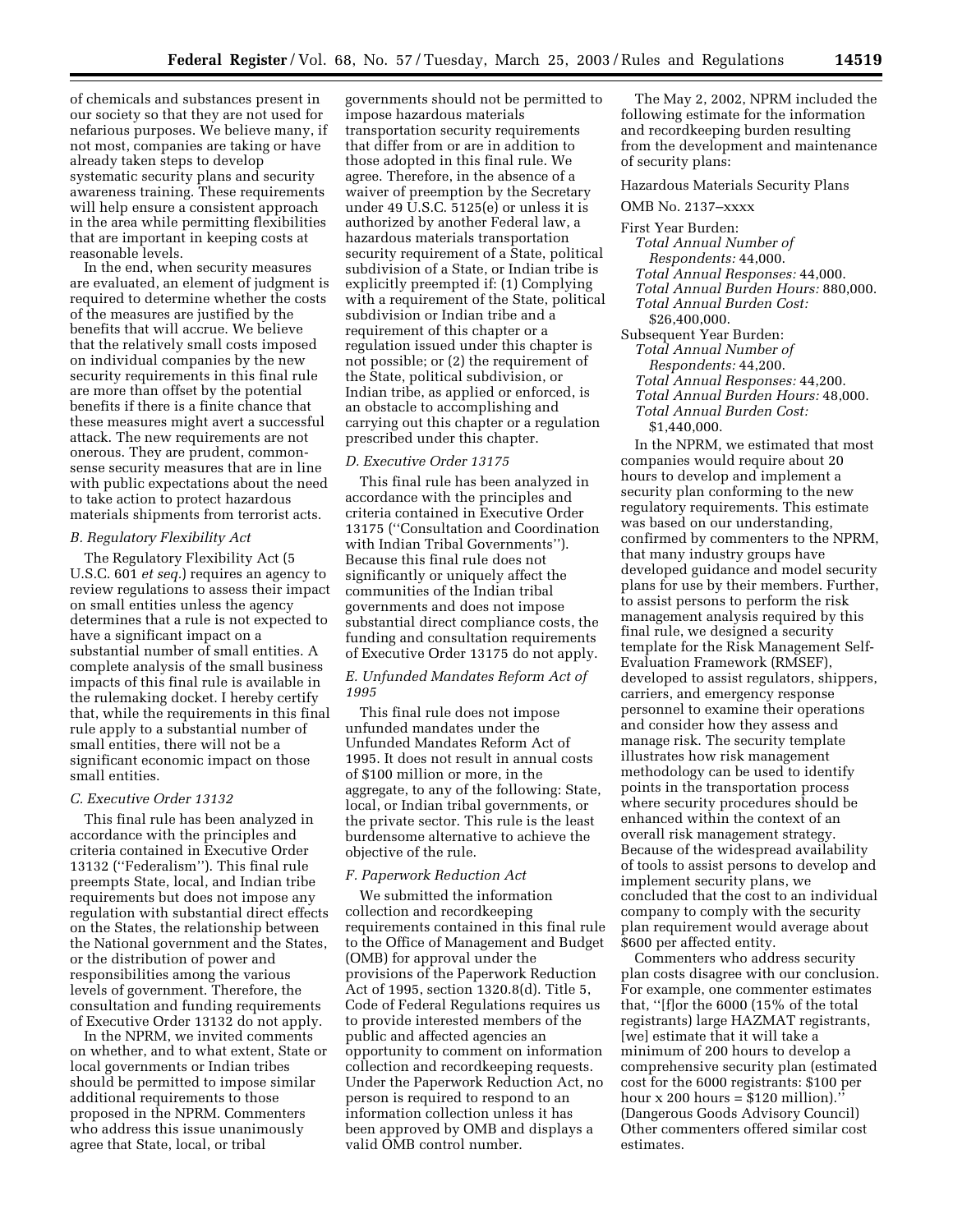of chemicals and substances present in our society so that they are not used for nefarious purposes. We believe many, if not most, companies are taking or have already taken steps to develop systematic security plans and security awareness training. These requirements will help ensure a consistent approach in the area while permitting flexibilities that are important in keeping costs at reasonable levels.

In the end, when security measures are evaluated, an element of judgment is required to determine whether the costs of the measures are justified by the benefits that will accrue. We believe that the relatively small costs imposed on individual companies by the new security requirements in this final rule are more than offset by the potential benefits if there is a finite chance that these measures might avert a successful attack. The new requirements are not onerous. They are prudent, commonsense security measures that are in line with public expectations about the need to take action to protect hazardous materials shipments from terrorist acts.

# *B. Regulatory Flexibility Act*

The Regulatory Flexibility Act (5 U.S.C. 601 *et seq.*) requires an agency to review regulations to assess their impact on small entities unless the agency determines that a rule is not expected to have a significant impact on a substantial number of small entities. A complete analysis of the small business impacts of this final rule is available in the rulemaking docket. I hereby certify that, while the requirements in this final rule apply to a substantial number of small entities, there will not be a significant economic impact on those small entities.

#### *C. Executive Order 13132*

This final rule has been analyzed in accordance with the principles and criteria contained in Executive Order 13132 (''Federalism''). This final rule preempts State, local, and Indian tribe requirements but does not impose any regulation with substantial direct effects on the States, the relationship between the National government and the States, or the distribution of power and responsibilities among the various levels of government. Therefore, the consultation and funding requirements of Executive Order 13132 do not apply.

In the NPRM, we invited comments on whether, and to what extent, State or local governments or Indian tribes should be permitted to impose similar additional requirements to those proposed in the NPRM. Commenters who address this issue unanimously agree that State, local, or tribal

governments should not be permitted to impose hazardous materials transportation security requirements that differ from or are in addition to those adopted in this final rule. We agree. Therefore, in the absence of a waiver of preemption by the Secretary under 49 U.S.C. 5125(e) or unless it is authorized by another Federal law, a hazardous materials transportation security requirement of a State, political subdivision of a State, or Indian tribe is explicitly preempted if: (1) Complying with a requirement of the State, political subdivision or Indian tribe and a requirement of this chapter or a regulation issued under this chapter is not possible; or (2) the requirement of the State, political subdivision, or Indian tribe, as applied or enforced, is an obstacle to accomplishing and carrying out this chapter or a regulation prescribed under this chapter.

#### *D. Executive Order 13175*

This final rule has been analyzed in accordance with the principles and criteria contained in Executive Order 13175 (''Consultation and Coordination with Indian Tribal Governments''). Because this final rule does not significantly or uniquely affect the communities of the Indian tribal governments and does not impose substantial direct compliance costs, the funding and consultation requirements of Executive Order 13175 do not apply.

# *E. Unfunded Mandates Reform Act of 1995*

This final rule does not impose unfunded mandates under the Unfunded Mandates Reform Act of 1995. It does not result in annual costs of \$100 million or more, in the aggregate, to any of the following: State, local, or Indian tribal governments, or the private sector. This rule is the least burdensome alternative to achieve the objective of the rule.

#### *F. Paperwork Reduction Act*

We submitted the information collection and recordkeeping requirements contained in this final rule to the Office of Management and Budget (OMB) for approval under the provisions of the Paperwork Reduction Act of 1995, section 1320.8(d). Title 5, Code of Federal Regulations requires us to provide interested members of the public and affected agencies an opportunity to comment on information collection and recordkeeping requests. Under the Paperwork Reduction Act, no person is required to respond to an information collection unless it has been approved by OMB and displays a valid OMB control number.

The May 2, 2002, NPRM included the following estimate for the information and recordkeeping burden resulting from the development and maintenance of security plans:

#### Hazardous Materials Security Plans

#### OMB No. 2137–xxxx

First Year Burden: *Total Annual Number of Respondents:* 44,000. *Total Annual Responses:* 44,000. *Total Annual Burden Hours:* 880,000. *Total Annual Burden Cost:* \$26,400,000. Subsequent Year Burden: *Total Annual Number of Respondents:* 44,200. *Total Annual Responses:* 44,200. *Total Annual Burden Hours:* 48,000. *Total Annual Burden Cost:* \$1,440,000.

In the NPRM, we estimated that most companies would require about 20 hours to develop and implement a security plan conforming to the new regulatory requirements. This estimate was based on our understanding, confirmed by commenters to the NPRM, that many industry groups have developed guidance and model security plans for use by their members. Further, to assist persons to perform the risk management analysis required by this final rule, we designed a security template for the Risk Management Self-Evaluation Framework (RMSEF), developed to assist regulators, shippers, carriers, and emergency response personnel to examine their operations and consider how they assess and manage risk. The security template illustrates how risk management methodology can be used to identify points in the transportation process where security procedures should be enhanced within the context of an overall risk management strategy. Because of the widespread availability of tools to assist persons to develop and implement security plans, we concluded that the cost to an individual company to comply with the security plan requirement would average about \$600 per affected entity.

Commenters who address security plan costs disagree with our conclusion. For example, one commenter estimates that, ''[f]or the 6000 (15% of the total registrants) large HAZMAT registrants, [we] estimate that it will take a minimum of 200 hours to develop a comprehensive security plan (estimated cost for the 6000 registrants: \$100 per hour  $x$  200 hours = \$120 million). (Dangerous Goods Advisory Council) Other commenters offered similar cost estimates.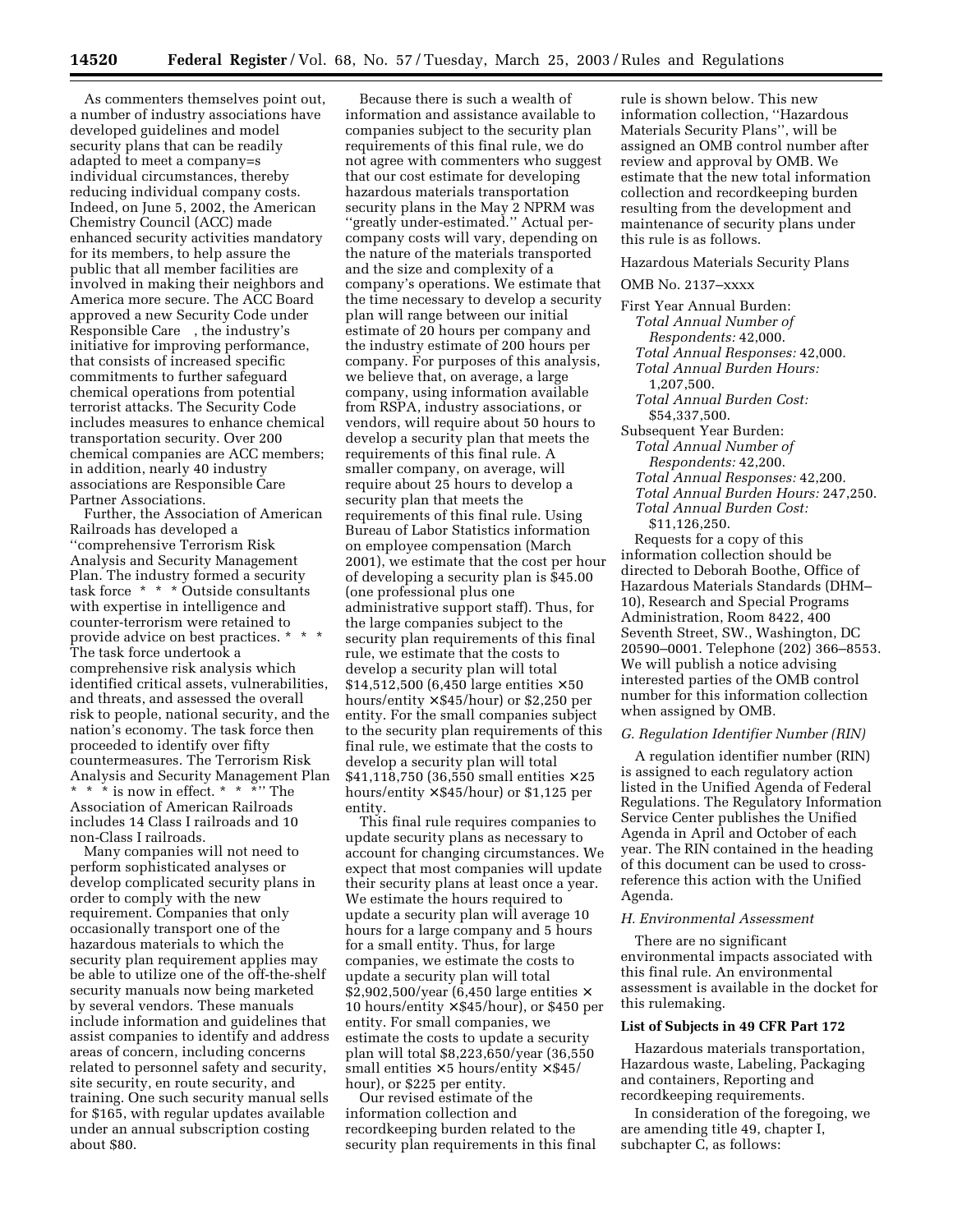As commenters themselves point out, a number of industry associations have developed guidelines and model security plans that can be readily adapted to meet a company=s individual circumstances, thereby reducing individual company costs. Indeed, on June 5, 2002, the American Chemistry Council (ACC) made enhanced security activities mandatory for its members, to help assure the public that all member facilities are involved in making their neighbors and America more secure. The ACC Board approved a new Security Code under Responsible Care ®, the industry's initiative for improving performance, that consists of increased specific commitments to further safeguard chemical operations from potential terrorist attacks. The Security Code includes measures to enhance chemical transportation security. Over 200 chemical companies are ACC members; in addition, nearly 40 industry associations are Responsible Care Partner Associations.

Further, the Association of American Railroads has developed a ''comprehensive Terrorism Risk Analysis and Security Management Plan. The industry formed a security task force \* \* \* Outside consultants with expertise in intelligence and counter-terrorism were retained to provide advice on best practices. \* \* \* The task force undertook a comprehensive risk analysis which identified critical assets, vulnerabilities, and threats, and assessed the overall risk to people, national security, and the nation's economy. The task force then proceeded to identify over fifty countermeasures. The Terrorism Risk Analysis and Security Management Plan \* \* \* is now in effect. \* \* \*'' The Association of American Railroads includes 14 Class I railroads and 10 non-Class I railroads.

Many companies will not need to perform sophisticated analyses or develop complicated security plans in order to comply with the new requirement. Companies that only occasionally transport one of the hazardous materials to which the security plan requirement applies may be able to utilize one of the off-the-shelf security manuals now being marketed by several vendors. These manuals include information and guidelines that assist companies to identify and address areas of concern, including concerns related to personnel safety and security, site security, en route security, and training. One such security manual sells for \$165, with regular updates available under an annual subscription costing about \$80.

Because there is such a wealth of information and assistance available to companies subject to the security plan requirements of this final rule, we do not agree with commenters who suggest that our cost estimate for developing hazardous materials transportation security plans in the May 2 NPRM was ''greatly under-estimated.'' Actual percompany costs will vary, depending on the nature of the materials transported and the size and complexity of a company's operations. We estimate that the time necessary to develop a security plan will range between our initial estimate of 20 hours per company and the industry estimate of 200 hours per company. For purposes of this analysis, we believe that, on average, a large company, using information available from RSPA, industry associations, or vendors, will require about 50 hours to develop a security plan that meets the requirements of this final rule. A smaller company, on average, will require about 25 hours to develop a security plan that meets the requirements of this final rule. Using Bureau of Labor Statistics information on employee compensation (March 2001), we estimate that the cost per hour of developing a security plan is \$45.00 (one professional plus one administrative support staff). Thus, for the large companies subject to the security plan requirements of this final rule, we estimate that the costs to develop a security plan will total \$14,512,500 (6,450 large entities  $\times 50$ hours/entity  $\times$  \$45/hour) or \$2,250 per entity. For the small companies subject to the security plan requirements of this final rule, we estimate that the costs to develop a security plan will total \$41,118,750 (36,550 small entities × 25 hours/entity  $\times$  \$45/hour) or \$1,125 per entity.

This final rule requires companies to update security plans as necessary to account for changing circumstances. We expect that most companies will update their security plans at least once a year. We estimate the hours required to update a security plan will average 10 hours for a large company and 5 hours for a small entity. Thus, for large companies, we estimate the costs to update a security plan will total \$2,902,500/year (6,450 large entities  $\times$ 10 hours/entity  $\times$  \$45/hour), or \$450 per entity. For small companies, we estimate the costs to update a security plan will total \$8,223,650/year (36,550 small entities  $\times$  5 hours/entity  $\times$  \$45/ hour), or \$225 per entity.

Our revised estimate of the information collection and recordkeeping burden related to the security plan requirements in this final

rule is shown below. This new information collection, ''Hazardous Materials Security Plans'', will be assigned an OMB control number after review and approval by OMB. We estimate that the new total information collection and recordkeeping burden resulting from the development and maintenance of security plans under this rule is as follows.

Hazardous Materials Security Plans

# OMB No. 2137–xxxx

| First Year Annual Burden:             |
|---------------------------------------|
| Total Annual Number of                |
| Respondents: 42,000.                  |
| Total Annual Responses: 42,000.       |
| Total Annual Burden Hours:            |
| 1,207,500.                            |
| Total Annual Burden Cost:             |
| \$54,337,500.                         |
| Subsequent Year Burden:               |
| Total Annual Number of                |
| Respondents: 42,200.                  |
| Total Annual Responses: 42,200.       |
| Total Annual Burden Hours: 247,250.   |
| Total Annual Burden Cost:             |
| \$11,126,250.                         |
| Requests for a copy of this           |
| information collection should be      |
| directed to Deborah Boothe, Office of |
| Hazardous Materials Standards (DHM–   |
| 10), Research and Special Programs    |
| Administration, Room 8422, 400        |
| Seventh Street, SW., Washington, DC   |

20590–0001. Telephone (202) 366–8553. We will publish a notice advising interested parties of the OMB control number for this information collection when assigned by OMB.

#### *G. Regulation Identifier Number (RIN)*

A regulation identifier number (RIN) is assigned to each regulatory action listed in the Unified Agenda of Federal Regulations. The Regulatory Information Service Center publishes the Unified Agenda in April and October of each year. The RIN contained in the heading of this document can be used to crossreference this action with the Unified Agenda.

#### *H. Environmental Assessment*

There are no significant environmental impacts associated with this final rule. An environmental assessment is available in the docket for this rulemaking.

#### **List of Subjects in 49 CFR Part 172**

Hazardous materials transportation, Hazardous waste, Labeling, Packaging and containers, Reporting and recordkeeping requirements.

In consideration of the foregoing, we are amending title 49, chapter I, subchapter C, as follows: